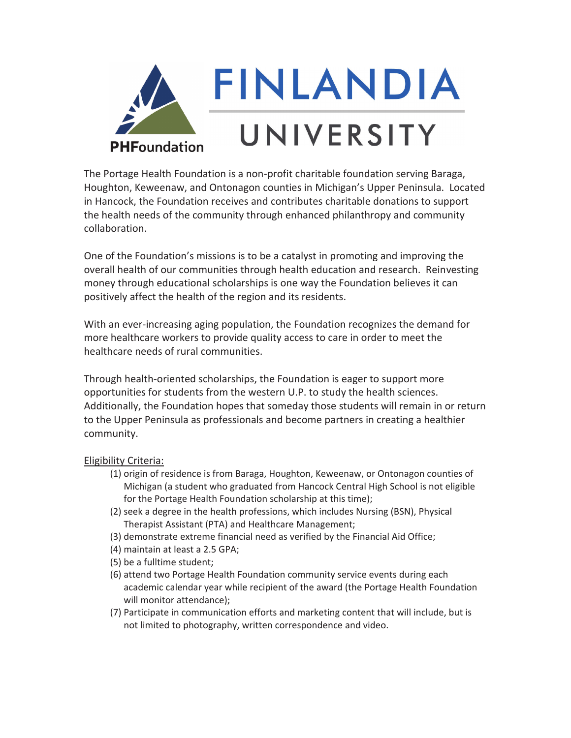

The Portage Health Foundation is a non-profit charitable foundation serving Baraga, Houghton, Keweenaw, and Ontonagon counties in Michigan's Upper Peninsula. Located in Hancock, the Foundation receives and contributes charitable donations to support the health needs of the community through enhanced philanthropy and community collaboration.

One of the Foundation's missions is to be a catalyst in promoting and improving the overall health of our communities through health education and research. Reinvesting money through educational scholarships is one way the Foundation believes it can positively affect the health of the region and its residents.

With an ever-increasing aging population, the Foundation recognizes the demand for more healthcare workers to provide quality access to care in order to meet the healthcare needs of rural communities.

Through health-oriented scholarships, the Foundation is eager to support more opportunities for students from the western U.P. to study the health sciences. Additionally, the Foundation hopes that someday those students will remain in or return to the Upper Peninsula as professionals and become partners in creating a healthier community.

## Eligibility Criteria:

- (1) origin of residence is from Baraga, Houghton, Keweenaw, or Ontonagon counties of Michigan (a student who graduated from Hancock Central High School is not eligible for the Portage Health Foundation scholarship at this time);
- (2) seek a degree in the health professions, which includes Nursing (BSN), Physical Therapist Assistant (PTA) and Healthcare Management;
- (3) demonstrate extreme financial need as verified by the Financial Aid Office;
- (4) maintain at least a 2.5 GPA;
- (5) be a fulltime student;
- (6) attend two Portage Health Foundation community service events during each academic calendar year while recipient of the award (the Portage Health Foundation will monitor attendance);
- (7) Participate in communication efforts and marketing content that will include, but is not limited to photography, written correspondence and video.